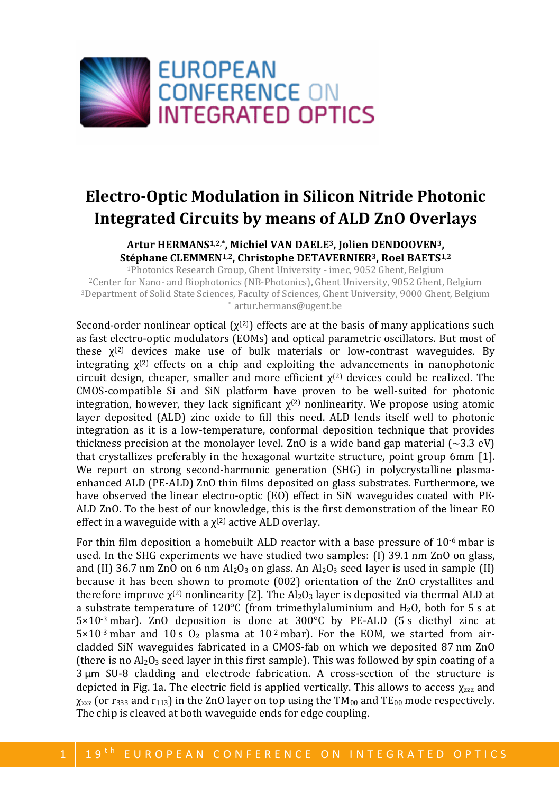

## **Electro-Optic Modulation in Silicon Nitride Photonic Integrated Circuits by means of ALD ZnO Overlays**

## **Artur HERMANS1,2,\* , Michiel VAN DAELE3, Jolien DENDOOVEN3, Stéphane CLEMMEN1,2, Christophe DETAVERNIER3, Roel BAETS1,2**

Photonics Research Group, Ghent University - imec, 9052 Ghent, Belgium Center for Nano- and Biophotonics (NB-Photonics), Ghent University, 9052 Ghent, Belgium Department of Solid State Sciences, Faculty of Sciences, Ghent University, 9000 Ghent, Belgium \* artur.hermans@ugent.be

Second-order nonlinear optical  $(\chi^{(2)})$  effects are at the basis of many applications such as fast electro-optic modulators (EOMs) and optical parametric oscillators. But most of these  $\chi^{(2)}$  devices make use of bulk materials or low-contrast waveguides. By integrating  $\chi^{(2)}$  effects on a chip and exploiting the advancements in nanophotonic circuit design, cheaper, smaller and more efficient  $\chi^{(2)}$  devices could be realized. The CMOS-compatible Si and SiN platform have proven to be well-suited for photonic integration, however, they lack significant  $\chi^{(2)}$  nonlinearity. We propose using atomic layer deposited (ALD) zinc oxide to fill this need. ALD lends itself well to photonic integration as it is a low-temperature, conformal deposition technique that provides thickness precision at the monolayer level. ZnO is a wide band gap material  $\sim 3.3 \text{ eV}$ ) that crystallizes preferably in the hexagonal wurtzite structure, point group 6mm [1]. We report on strong second-harmonic generation (SHG) in polycrystalline plasmaenhanced ALD (PE-ALD) ZnO thin films deposited on glass substrates. Furthermore, we have observed the linear electro-optic (EO) effect in SiN waveguides coated with PE-ALD ZnO. To the best of our knowledge, this is the first demonstration of the linear EO effect in a waveguide with a  $\chi^{(2)}$  active ALD overlay.

For thin film deposition a homebuilt ALD reactor with a base pressure of  $10^{-6}$  mbar is used. In the SHG experiments we have studied two samples: (I) 39.1 nm ZnO on glass, and (II) 36.7 nm ZnO on 6 nm Al<sub>2</sub>O<sub>3</sub> on glass. An Al<sub>2</sub>O<sub>3</sub> seed layer is used in sample (II) because it has been shown to promote (002) orientation of the ZnO crystallites and therefore improve  $\chi^{(2)}$  nonlinearity [2]. The Al<sub>2</sub>O<sub>3</sub> layer is deposited via thermal ALD at a substrate temperature of 120 $^{\circ}$ C (from trimethylaluminium and H<sub>2</sub>O, both for 5 s at 5×10-3 mbar). ZnO deposition is done at 300°C by PE-ALD (5 s diethyl zinc at  $5\times10^{-3}$  mbar and 10 s O<sub>2</sub> plasma at  $10^{-2}$  mbar). For the EOM, we started from aircladded SiN waveguides fabricated in a CMOS-fab on which we deposited 87 nm ZnO (there is no  $Al_2O_3$  seed layer in this first sample). This was followed by spin coating of a 3 μm SU-8 cladding and electrode fabrication. A cross-section of the structure is depicted in Fig. 1a. The electric field is applied vertically. This allows to access  $\chi_{zzz}$  and  $\chi_{xxz}$  (or r<sub>333</sub> and r<sub>113</sub>) in the ZnO layer on top using the TM<sub>00</sub> and TE<sub>00</sub> mode respectively. The chip is cleaved at both waveguide ends for edge coupling.